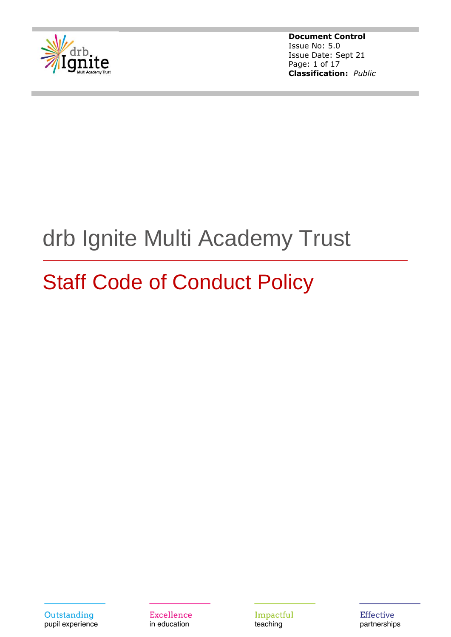

**Document Control** Issue No: 5.0 Issue Date: Sept 21 Page: 1 of 17 **Classification:** *Public*

# drb Ignite Multi Academy Trust

# Staff Code of Conduct Policy

**Excellence** in education

Impactful teaching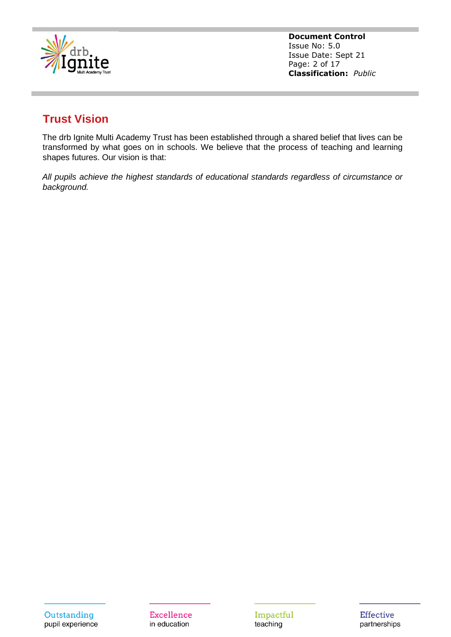

**Document Control** Issue No: 5.0 Issue Date: Sept 21 Page: 2 of 17 **Classification:** *Public*

# **Trust Vision**

The drb Ignite Multi Academy Trust has been established through a shared belief that lives can be transformed by what goes on in schools. We believe that the process of teaching and learning shapes futures. Our vision is that:

*All pupils achieve the highest standards of educational standards regardless of circumstance or background.*

**Excellence** in education

Impactful teaching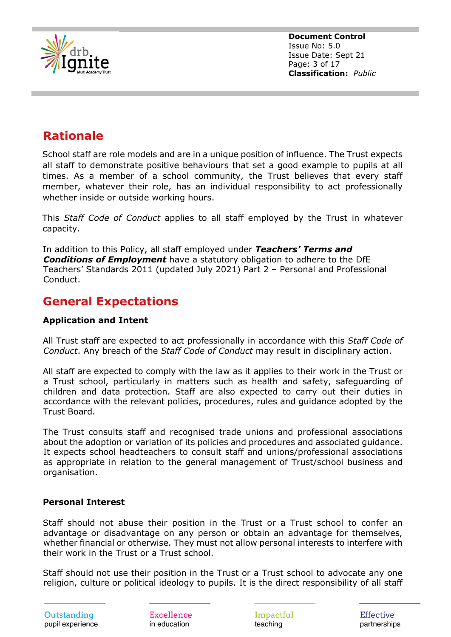

**Document Control** Issue No: 5.0 Issue Date: Sept 21 Page: 3 of 17 **Classification:** *Public*

# **Rationale**

School staff are role models and are in a unique position of influence. The Trust expects all staff to demonstrate positive behaviours that set a good example to pupils at all times. As a member of a school community, the Trust believes that every staff member, whatever their role, has an individual responsibility to act professionally whether inside or outside working hours.

This *Staff Code of Conduct* applies to all staff employed by the Trust in whatever capacity.

In addition to this Policy, all staff employed under *Teachers' Terms and Conditions of Employment* have a statutory obligation to adhere to the DfE Teachers' Standards 2011 (updated July 2021) Part 2 – Personal and Professional Conduct.

# **General Expectations**

# **Application and Intent**

All Trust staff are expected to act professionally in accordance with this *Staff Code of Conduct*. Any breach of the *Staff Code of Conduct* may result in disciplinary action.

All staff are expected to comply with the law as it applies to their work in the Trust or a Trust school, particularly in matters such as health and safety, safeguarding of children and data protection. Staff are also expected to carry out their duties in accordance with the relevant policies, procedures, rules and guidance adopted by the Trust Board.

The Trust consults staff and recognised trade unions and professional associations about the adoption or variation of its policies and procedures and associated guidance. It expects school headteachers to consult staff and unions/professional associations as appropriate in relation to the general management of Trust/school business and organisation.

#### **Personal Interest**

Staff should not abuse their position in the Trust or a Trust school to confer an advantage or disadvantage on any person or obtain an advantage for themselves, whether financial or otherwise. They must not allow personal interests to interfere with their work in the Trust or a Trust school.

Staff should not use their position in the Trust or a Trust school to advocate any one religion, culture or political ideology to pupils. It is the direct responsibility of all staff

Outstanding pupil experience

Excellence in education

Impactful teaching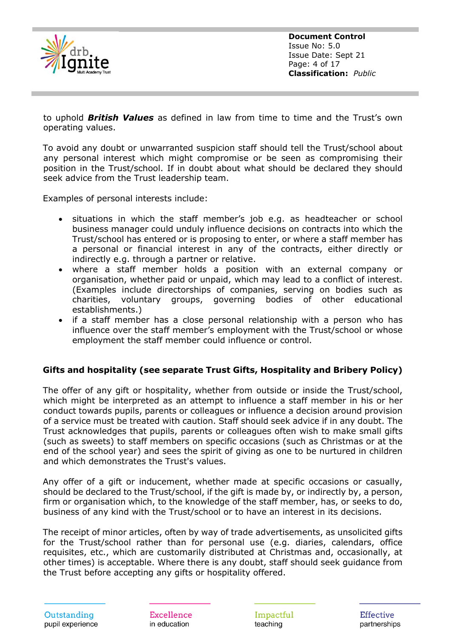

**Document Control** Issue No: 5.0 Issue Date: Sept 21 Page: 4 of 17 **Classification:** *Public*

to uphold *British Values* as defined in law from time to time and the Trust's own operating values.

To avoid any doubt or unwarranted suspicion staff should tell the Trust/school about any personal interest which might compromise or be seen as compromising their position in the Trust/school. If in doubt about what should be declared they should seek advice from the Trust leadership team.

Examples of personal interests include:

- situations in which the staff member's job e.g. as headteacher or school business manager could unduly influence decisions on contracts into which the Trust/school has entered or is proposing to enter, or where a staff member has a personal or financial interest in any of the contracts, either directly or indirectly e.g. through a partner or relative.
- where a staff member holds a position with an external company or organisation, whether paid or unpaid, which may lead to a conflict of interest. (Examples include directorships of companies, serving on bodies such as charities, voluntary groups, governing bodies of other educational establishments.)
- if a staff member has a close personal relationship with a person who has influence over the staff member's employment with the Trust/school or whose employment the staff member could influence or control.

#### **Gifts and hospitality (see separate Trust Gifts, Hospitality and Bribery Policy)**

The offer of any gift or hospitality, whether from outside or inside the Trust/school, which might be interpreted as an attempt to influence a staff member in his or her conduct towards pupils, parents or colleagues or influence a decision around provision of a service must be treated with caution. Staff should seek advice if in any doubt. The Trust acknowledges that pupils, parents or colleagues often wish to make small gifts (such as sweets) to staff members on specific occasions (such as Christmas or at the end of the school year) and sees the spirit of giving as one to be nurtured in children and which demonstrates the Trust's values.

Any offer of a gift or inducement, whether made at specific occasions or casually, should be declared to the Trust/school, if the gift is made by, or indirectly by, a person, firm or organisation which, to the knowledge of the staff member, has, or seeks to do, business of any kind with the Trust/school or to have an interest in its decisions.

The receipt of minor articles, often by way of trade advertisements, as unsolicited gifts for the Trust/school rather than for personal use (e.g. diaries, calendars, office requisites, etc., which are customarily distributed at Christmas and, occasionally, at other times) is acceptable. Where there is any doubt, staff should seek guidance from the Trust before accepting any gifts or hospitality offered.

Outstanding pupil experience Excellence in education

Impactful teaching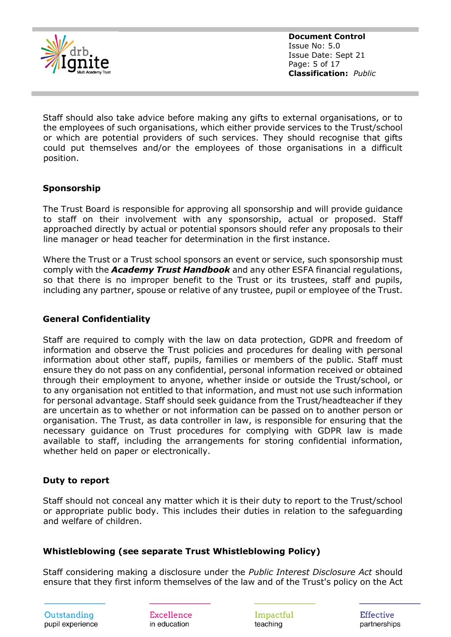

**Document Control** Issue No: 5.0 Issue Date: Sept 21 Page: 5 of 17 **Classification:** *Public*

Staff should also take advice before making any gifts to external organisations, or to the employees of such organisations, which either provide services to the Trust/school or which are potential providers of such services. They should recognise that gifts could put themselves and/or the employees of those organisations in a difficult position.

## **Sponsorship**

The Trust Board is responsible for approving all sponsorship and will provide guidance to staff on their involvement with any sponsorship, actual or proposed. Staff approached directly by actual or potential sponsors should refer any proposals to their line manager or head teacher for determination in the first instance.

Where the Trust or a Trust school sponsors an event or service, such sponsorship must comply with the *Academy Trust Handbook* and any other ESFA financial regulations, so that there is no improper benefit to the Trust or its trustees, staff and pupils, including any partner, spouse or relative of any trustee, pupil or employee of the Trust.

#### **General Confidentiality**

Staff are required to comply with the law on data protection, GDPR and freedom of information and observe the Trust policies and procedures for dealing with personal information about other staff, pupils, families or members of the public. Staff must ensure they do not pass on any confidential, personal information received or obtained through their employment to anyone, whether inside or outside the Trust/school, or to any organisation not entitled to that information, and must not use such information for personal advantage. Staff should seek guidance from the Trust/headteacher if they are uncertain as to whether or not information can be passed on to another person or organisation. The Trust, as data controller in law, is responsible for ensuring that the necessary guidance on Trust procedures for complying with GDPR law is made available to staff, including the arrangements for storing confidential information, whether held on paper or electronically.

#### **Duty to report**

Staff should not conceal any matter which it is their duty to report to the Trust/school or appropriate public body. This includes their duties in relation to the safeguarding and welfare of children.

#### **Whistleblowing (see separate Trust Whistleblowing Policy)**

Staff considering making a disclosure under the *Public Interest Disclosure Act* should ensure that they first inform themselves of the law and of the Trust's policy on the Act

Excellence in education

Impactful teaching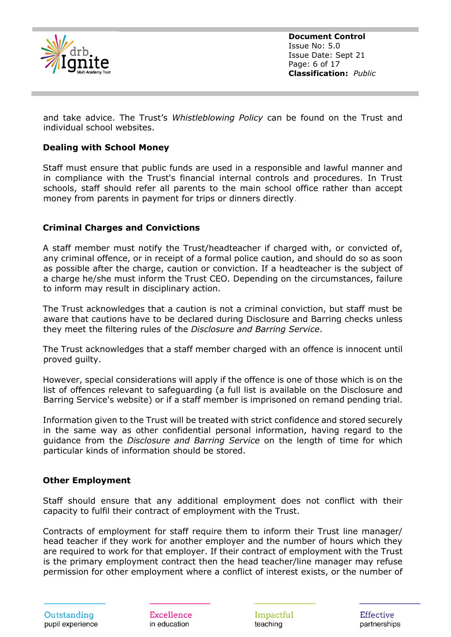

**Document Control** Issue No: 5.0 Issue Date: Sept 21 Page: 6 of 17 **Classification:** *Public*

and take advice. The Trust's *Whistleblowing Policy* can be found on the Trust and individual school websites.

#### **Dealing with School Money**

Staff must ensure that public funds are used in a responsible and lawful manner and in compliance with the Trust's financial internal controls and procedures. In Trust schools, staff should refer all parents to the main school office rather than accept money from parents in payment for trips or dinners directly.

#### **Criminal Charges and Convictions**

A staff member must notify the Trust/headteacher if charged with, or convicted of, any criminal offence, or in receipt of a formal police caution, and should do so as soon as possible after the charge, caution or conviction. If a headteacher is the subject of a charge he/she must inform the Trust CEO. Depending on the circumstances, failure to inform may result in disciplinary action.

The Trust acknowledges that a caution is not a criminal conviction, but staff must be aware that cautions have to be declared during Disclosure and Barring checks unless they meet the filtering rules of the *Disclosure and Barring Service*.

The Trust acknowledges that a staff member charged with an offence is innocent until proved guilty.

However, special considerations will apply if the offence is one of those which is on the list of offences relevant to safeguarding (a full list is available on the Disclosure and Barring Service's website) or if a staff member is imprisoned on remand pending trial.

Information given to the Trust will be treated with strict confidence and stored securely in the same way as other confidential personal information, having regard to the guidance from the *Disclosure and Barring Service* on the length of time for which particular kinds of information should be stored.

#### **Other Employment**

Staff should ensure that any additional employment does not conflict with their capacity to fulfil their contract of employment with the Trust.

Contracts of employment for staff require them to inform their Trust line manager/ head teacher if they work for another employer and the number of hours which they are required to work for that employer. If their contract of employment with the Trust is the primary employment contract then the head teacher/line manager may refuse permission for other employment where a conflict of interest exists, or the number of

Excellence in education

Impactful teaching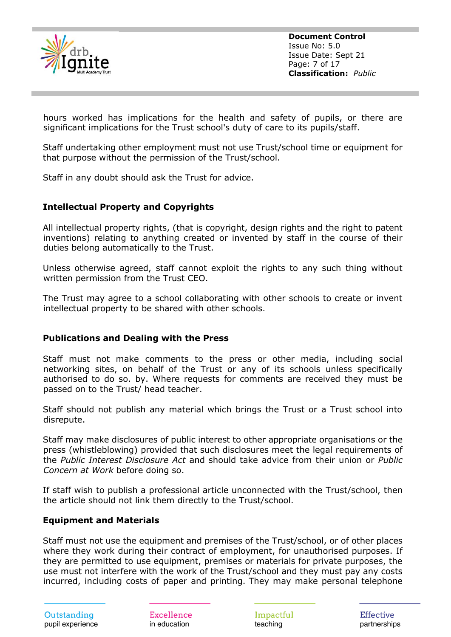

**Document Control** Issue No: 5.0 Issue Date: Sept 21 Page: 7 of 17 **Classification:** *Public*

hours worked has implications for the health and safety of pupils, or there are significant implications for the Trust school's duty of care to its pupils/staff.

Staff undertaking other employment must not use Trust/school time or equipment for that purpose without the permission of the Trust/school.

Staff in any doubt should ask the Trust for advice.

#### **Intellectual Property and Copyrights**

All intellectual property rights, (that is copyright, design rights and the right to patent inventions) relating to anything created or invented by staff in the course of their duties belong automatically to the Trust.

Unless otherwise agreed, staff cannot exploit the rights to any such thing without written permission from the Trust CEO.

The Trust may agree to a school collaborating with other schools to create or invent intellectual property to be shared with other schools.

#### **Publications and Dealing with the Press**

Staff must not make comments to the press or other media, including social networking sites, on behalf of the Trust or any of its schools unless specifically authorised to do so. by. Where requests for comments are received they must be passed on to the Trust/ head teacher.

Staff should not publish any material which brings the Trust or a Trust school into disrepute.

Staff may make disclosures of public interest to other appropriate organisations or the press (whistleblowing) provided that such disclosures meet the legal requirements of the *Public Interest Disclosure Act* and should take advice from their union or *Public Concern at Work* before doing so.

If staff wish to publish a professional article unconnected with the Trust/school, then the article should not link them directly to the Trust/school.

#### **Equipment and Materials**

Staff must not use the equipment and premises of the Trust/school, or of other places where they work during their contract of employment, for unauthorised purposes. If they are permitted to use equipment, premises or materials for private purposes, the use must not interfere with the work of the Trust/school and they must pay any costs incurred, including costs of paper and printing. They may make personal telephone

Excellence in education

Impactful teaching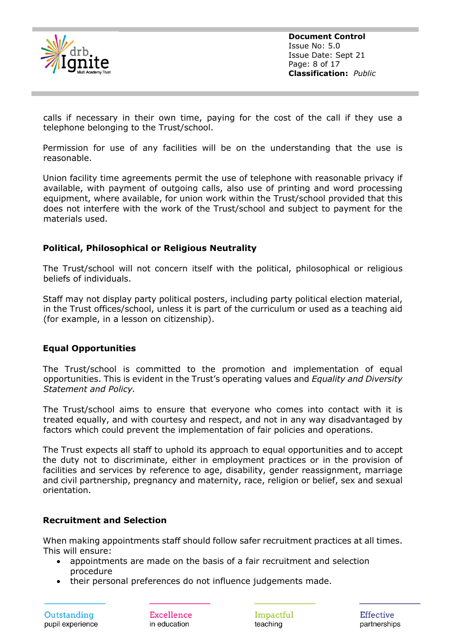

**Document Control** Issue No: 5.0 Issue Date: Sept 21 Page: 8 of 17 **Classification:** *Public*

calls if necessary in their own time, paying for the cost of the call if they use a telephone belonging to the Trust/school.

Permission for use of any facilities will be on the understanding that the use is reasonable.

Union facility time agreements permit the use of telephone with reasonable privacy if available, with payment of outgoing calls, also use of printing and word processing equipment, where available, for union work within the Trust/school provided that this does not interfere with the work of the Trust/school and subject to payment for the materials used.

#### **Political, Philosophical or Religious Neutrality**

The Trust/school will not concern itself with the political, philosophical or religious beliefs of individuals.

Staff may not display party political posters, including party political election material, in the Trust offices/school, unless it is part of the curriculum or used as a teaching aid (for example, in a lesson on citizenship).

#### **Equal Opportunities**

The Trust/school is committed to the promotion and implementation of equal opportunities. This is evident in the Trust's operating values and *Equality and Diversity Statement and Policy.*

The Trust/school aims to ensure that everyone who comes into contact with it is treated equally, and with courtesy and respect, and not in any way disadvantaged by factors which could prevent the implementation of fair policies and operations.

The Trust expects all staff to uphold its approach to equal opportunities and to accept the duty not to discriminate, either in employment practices or in the provision of facilities and services by reference to age, disability, gender reassignment, marriage and civil partnership, pregnancy and maternity, race, religion or belief, sex and sexual orientation.

#### **Recruitment and Selection**

When making appointments staff should follow safer recruitment practices at all times. This will ensure:

- appointments are made on the basis of a fair recruitment and selection procedure
- their personal preferences do not influence judgements made.

Outstanding pupil experience

Excellence in education

Impactful teaching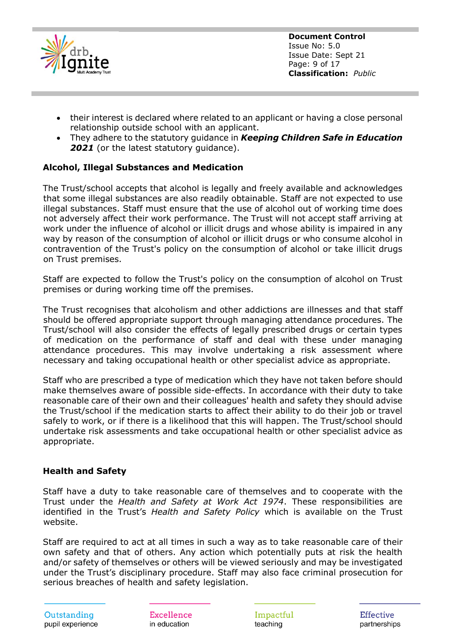

**Document Control** Issue No: 5.0 Issue Date: Sept 21 Page: 9 of 17 **Classification:** *Public*

- their interest is declared where related to an applicant or having a close personal relationship outside school with an applicant.
- They adhere to the statutory guidance in *Keeping Children Safe in Education* 2021 (or the latest statutory quidance).

# **Alcohol, Illegal Substances and Medication**

The Trust/school accepts that alcohol is legally and freely available and acknowledges that some illegal substances are also readily obtainable. Staff are not expected to use illegal substances. Staff must ensure that the use of alcohol out of working time does not adversely affect their work performance. The Trust will not accept staff arriving at work under the influence of alcohol or illicit drugs and whose ability is impaired in any way by reason of the consumption of alcohol or illicit drugs or who consume alcohol in contravention of the Trust's policy on the consumption of alcohol or take illicit drugs on Trust premises.

Staff are expected to follow the Trust's policy on the consumption of alcohol on Trust premises or during working time off the premises.

The Trust recognises that alcoholism and other addictions are illnesses and that staff should be offered appropriate support through managing attendance procedures. The Trust/school will also consider the effects of legally prescribed drugs or certain types of medication on the performance of staff and deal with these under managing attendance procedures. This may involve undertaking a risk assessment where necessary and taking occupational health or other specialist advice as appropriate.

Staff who are prescribed a type of medication which they have not taken before should make themselves aware of possible side-effects. In accordance with their duty to take reasonable care of their own and their colleagues' health and safety they should advise the Trust/school if the medication starts to affect their ability to do their job or travel safely to work, or if there is a likelihood that this will happen. The Trust/school should undertake risk assessments and take occupational health or other specialist advice as appropriate.

#### **Health and Safety**

Staff have a duty to take reasonable care of themselves and to cooperate with the Trust under the *Health and Safety at Work Act 1974*. These responsibilities are identified in the Trust's *Health and Safety Policy* which is available on the Trust website.

Staff are required to act at all times in such a way as to take reasonable care of their own safety and that of others. Any action which potentially puts at risk the health and/or safety of themselves or others will be viewed seriously and may be investigated under the Trust's disciplinary procedure. Staff may also face criminal prosecution for serious breaches of health and safety legislation.

Outstanding pupil experience

Excellence in education

Impactful teaching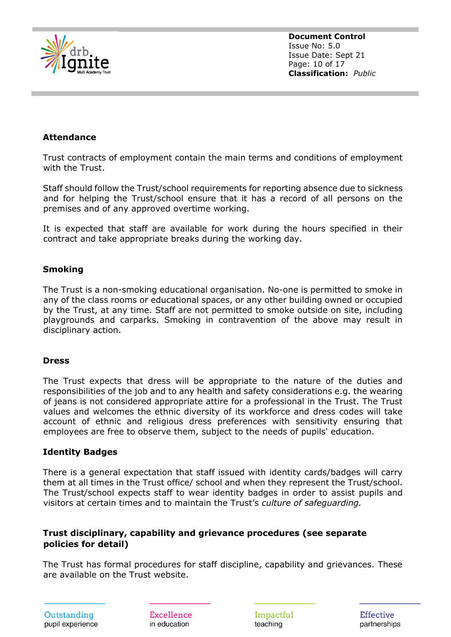

**Document Control** Issue No: 5.0 Issue Date: Sept 21 Page: 10 of 17 **Classification:** *Public*

#### **Attendance**

Trust contracts of employment contain the main terms and conditions of employment with the Trust.

Staff should follow the Trust/school requirements for reporting absence due to sickness and for helping the Trust/school ensure that it has a record of all persons on the premises and of any approved overtime working.

It is expected that staff are available for work during the hours specified in their contract and take appropriate breaks during the working day.

#### **Smoking**

The Trust is a non-smoking educational organisation. No-one is permitted to smoke in any of the class rooms or educational spaces, or any other building owned or occupied by the Trust, at any time. Staff are not permitted to smoke outside on site, including playgrounds and carparks. Smoking in contravention of the above may result in disciplinary action.

#### **Dress**

The Trust expects that dress will be appropriate to the nature of the duties and responsibilities of the job and to any health and safety considerations e.g. the wearing of jeans is not considered appropriate attire for a professional in the Trust. The Trust values and welcomes the ethnic diversity of its workforce and dress codes will take account of ethnic and religious dress preferences with sensitivity ensuring that employees are free to observe them, subject to the needs of pupils' education.

#### **Identity Badges**

There is a general expectation that staff issued with identity cards/badges will carry them at all times in the Trust office/ school and when they represent the Trust/school. The Trust/school expects staff to wear identity badges in order to assist pupils and visitors at certain times and to maintain the Trust's *culture of safeguarding.*

#### **Trust disciplinary, capability and grievance procedures (see separate policies for detail)**

The Trust has formal procedures for staff discipline, capability and grievances. These are available on the Trust website.

Outstanding pupil experience

Excellence in education

Impactful teaching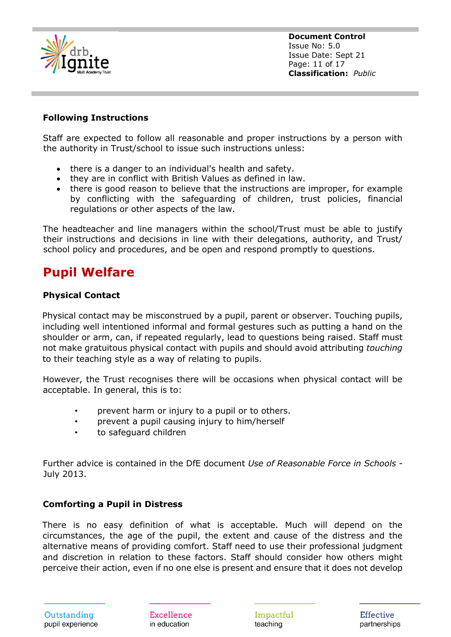

**Document Control** Issue No: 5.0 Issue Date: Sept 21 Page: 11 of 17 **Classification:** *Public*

#### **Following Instructions**

Staff are expected to follow all reasonable and proper instructions by a person with the authority in Trust/school to issue such instructions unless:

- there is a danger to an individual's health and safety.
- they are in conflict with British Values as defined in law.
- there is good reason to believe that the instructions are improper, for example by conflicting with the safeguarding of children, trust policies, financial regulations or other aspects of the law.

The headteacher and line managers within the school/Trust must be able to justify their instructions and decisions in line with their delegations, authority, and Trust/ school policy and procedures, and be open and respond promptly to questions.

# **Pupil Welfare**

#### **Physical Contact**

Physical contact may be misconstrued by a pupil, parent or observer. Touching pupils, including well intentioned informal and formal gestures such as putting a hand on the shoulder or arm, can, if repeated regularly, lead to questions being raised. Staff must not make gratuitous physical contact with pupils and should avoid attributing *touching* to their teaching style as a way of relating to pupils.

However, the Trust recognises there will be occasions when physical contact will be acceptable. In general, this is to:

- prevent harm or injury to a pupil or to others.
- prevent a pupil causing injury to him/herself
- to safeguard children

Further advice is contained in the DfE document *Use of Reasonable Force in Schools* - July 2013.

#### **Comforting a Pupil in Distress**

There is no easy definition of what is acceptable. Much will depend on the circumstances, the age of the pupil, the extent and cause of the distress and the alternative means of providing comfort. Staff need to use their professional judgment and discretion in relation to these factors. Staff should consider how others might perceive their action, even if no one else is present and ensure that it does not develop

Excellence in education

Impactful teaching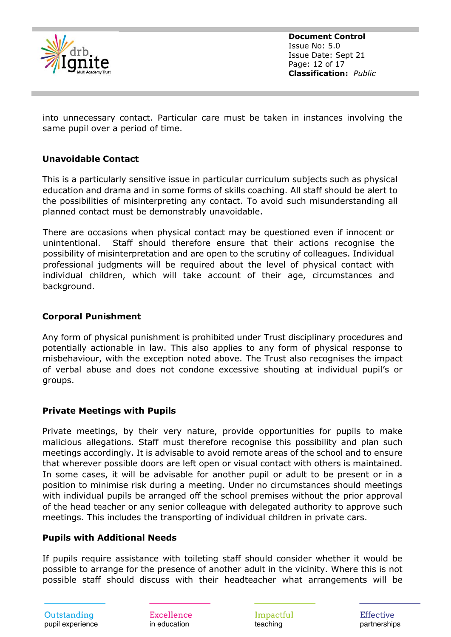

**Document Control** Issue No: 5.0 Issue Date: Sept 21 Page: 12 of 17 **Classification:** *Public*

into unnecessary contact. Particular care must be taken in instances involving the same pupil over a period of time.

## **Unavoidable Contact**

This is a particularly sensitive issue in particular curriculum subjects such as physical education and drama and in some forms of skills coaching. All staff should be alert to the possibilities of misinterpreting any contact. To avoid such misunderstanding all planned contact must be demonstrably unavoidable.

There are occasions when physical contact may be questioned even if innocent or unintentional. Staff should therefore ensure that their actions recognise the possibility of misinterpretation and are open to the scrutiny of colleagues. Individual professional judgments will be required about the level of physical contact with individual children, which will take account of their age, circumstances and background.

## **Corporal Punishment**

Any form of physical punishment is prohibited under Trust disciplinary procedures and potentially actionable in law. This also applies to any form of physical response to misbehaviour, with the exception noted above. The Trust also recognises the impact of verbal abuse and does not condone excessive shouting at individual pupil's or groups.

#### **Private Meetings with Pupils**

Private meetings, by their very nature, provide opportunities for pupils to make malicious allegations. Staff must therefore recognise this possibility and plan such meetings accordingly. It is advisable to avoid remote areas of the school and to ensure that wherever possible doors are left open or visual contact with others is maintained. In some cases, it will be advisable for another pupil or adult to be present or in a position to minimise risk during a meeting. Under no circumstances should meetings with individual pupils be arranged off the school premises without the prior approval of the head teacher or any senior colleague with delegated authority to approve such meetings. This includes the transporting of individual children in private cars.

#### **Pupils with Additional Needs**

If pupils require assistance with toileting staff should consider whether it would be possible to arrange for the presence of another adult in the vicinity. Where this is not possible staff should discuss with their headteacher what arrangements will be

Excellence in education

Impactful teaching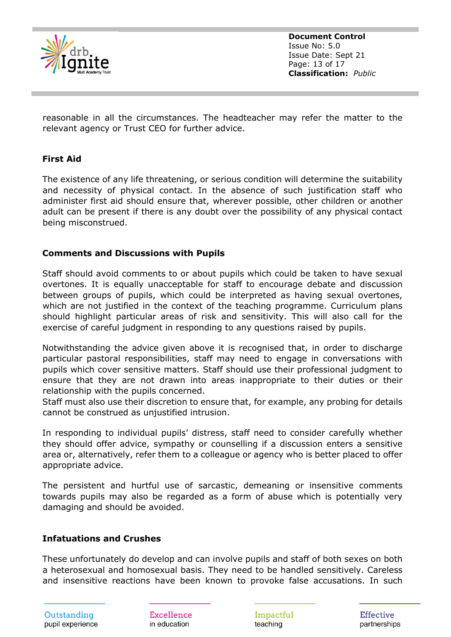

**Document Control** Issue No: 5.0 Issue Date: Sept 21 Page: 13 of 17 **Classification:** *Public*

reasonable in all the circumstances. The headteacher may refer the matter to the relevant agency or Trust CEO for further advice.

## **First Aid**

The existence of any life threatening, or serious condition will determine the suitability and necessity of physical contact. In the absence of such justification staff who administer first aid should ensure that, wherever possible, other children or another adult can be present if there is any doubt over the possibility of any physical contact being misconstrued.

#### **Comments and Discussions with Pupils**

Staff should avoid comments to or about pupils which could be taken to have sexual overtones. It is equally unacceptable for staff to encourage debate and discussion between groups of pupils, which could be interpreted as having sexual overtones, which are not justified in the context of the teaching programme. Curriculum plans should highlight particular areas of risk and sensitivity. This will also call for the exercise of careful judgment in responding to any questions raised by pupils.

Notwithstanding the advice given above it is recognised that, in order to discharge particular pastoral responsibilities, staff may need to engage in conversations with pupils which cover sensitive matters. Staff should use their professional judgment to ensure that they are not drawn into areas inappropriate to their duties or their relationship with the pupils concerned.

Staff must also use their discretion to ensure that, for example, any probing for details cannot be construed as unjustified intrusion.

In responding to individual pupils' distress, staff need to consider carefully whether they should offer advice, sympathy or counselling if a discussion enters a sensitive area or, alternatively, refer them to a colleague or agency who is better placed to offer appropriate advice.

The persistent and hurtful use of sarcastic, demeaning or insensitive comments towards pupils may also be regarded as a form of abuse which is potentially very damaging and should be avoided.

#### **Infatuations and Crushes**

These unfortunately do develop and can involve pupils and staff of both sexes on both a heterosexual and homosexual basis. They need to be handled sensitively. Careless and insensitive reactions have been known to provoke false accusations. In such

Excellence in education

Impactful teaching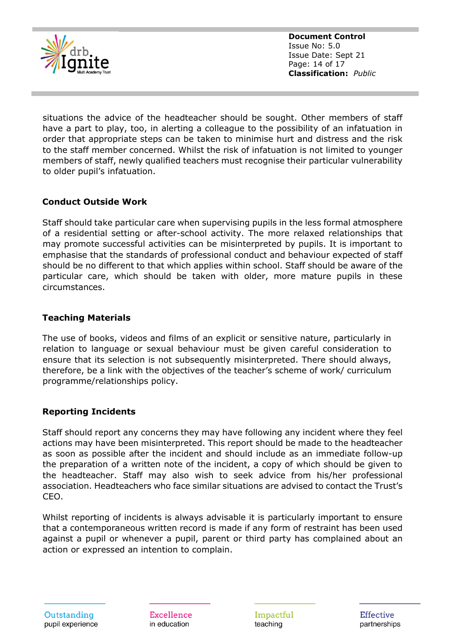

**Document Control** Issue No: 5.0 Issue Date: Sept 21 Page: 14 of 17 **Classification:** *Public*

situations the advice of the headteacher should be sought. Other members of staff have a part to play, too, in alerting a colleague to the possibility of an infatuation in order that appropriate steps can be taken to minimise hurt and distress and the risk to the staff member concerned. Whilst the risk of infatuation is not limited to younger members of staff, newly qualified teachers must recognise their particular vulnerability to older pupil's infatuation.

# **Conduct Outside Work**

Staff should take particular care when supervising pupils in the less formal atmosphere of a residential setting or after-school activity. The more relaxed relationships that may promote successful activities can be misinterpreted by pupils. It is important to emphasise that the standards of professional conduct and behaviour expected of staff should be no different to that which applies within school. Staff should be aware of the particular care, which should be taken with older, more mature pupils in these circumstances.

# **Teaching Materials**

The use of books, videos and films of an explicit or sensitive nature, particularly in relation to language or sexual behaviour must be given careful consideration to ensure that its selection is not subsequently misinterpreted. There should always, therefore, be a link with the objectives of the teacher's scheme of work/ curriculum programme/relationships policy.

# **Reporting Incidents**

Staff should report any concerns they may have following any incident where they feel actions may have been misinterpreted. This report should be made to the headteacher as soon as possible after the incident and should include as an immediate follow-up the preparation of a written note of the incident, a copy of which should be given to the headteacher. Staff may also wish to seek advice from his/her professional association. Headteachers who face similar situations are advised to contact the Trust's CEO.

Whilst reporting of incidents is always advisable it is particularly important to ensure that a contemporaneous written record is made if any form of restraint has been used against a pupil or whenever a pupil, parent or third party has complained about an action or expressed an intention to complain.

Outstanding pupil experience Excellence in education

Impactful teaching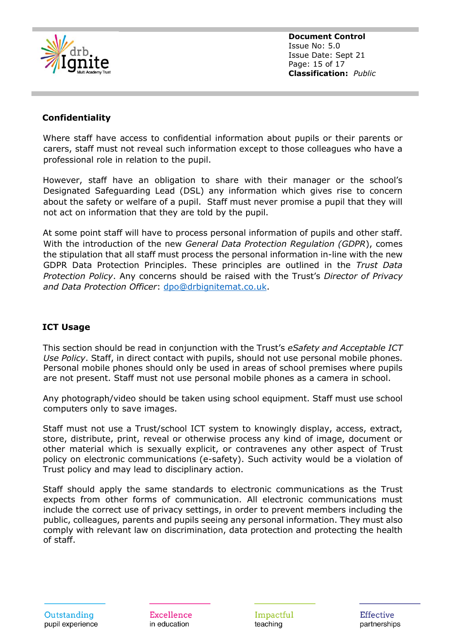

**Document Control** Issue No: 5.0 Issue Date: Sept 21 Page: 15 of 17 **Classification:** *Public*

# **Confidentiality**

Where staff have access to confidential information about pupils or their parents or carers, staff must not reveal such information except to those colleagues who have a professional role in relation to the pupil.

However, staff have an obligation to share with their manager or the school's Designated Safeguarding Lead (DSL) any information which gives rise to concern about the safety or welfare of a pupil. Staff must never promise a pupil that they will not act on information that they are told by the pupil.

At some point staff will have to process personal information of pupils and other staff. With the introduction of the new *General Data Protection Regulation (GDPR*), comes the stipulation that all staff must process the personal information in-line with the new GDPR Data Protection Principles. These principles are outlined in the *Trust Data Protection Policy*. Any concerns should be raised with the Trust's *Director of Privacy and Data Protection Officer*: [dpo@drbignitemat.co.uk.](mailto:dpo@drbignitemat.co.uk)

# **ICT Usage**

This section should be read in conjunction with the Trust's *eSafety and Acceptable ICT Use Policy*. Staff, in direct contact with pupils, should not use personal mobile phones. Personal mobile phones should only be used in areas of school premises where pupils are not present. Staff must not use personal mobile phones as a camera in school.

Any photograph/video should be taken using school equipment. Staff must use school computers only to save images.

Staff must not use a Trust/school ICT system to knowingly display, access, extract, store, distribute, print, reveal or otherwise process any kind of image, document or other material which is sexually explicit, or contravenes any other aspect of Trust policy on electronic communications (e-safety). Such activity would be a violation of Trust policy and may lead to disciplinary action.

Staff should apply the same standards to electronic communications as the Trust expects from other forms of communication. All electronic communications must include the correct use of privacy settings, in order to prevent members including the public, colleagues, parents and pupils seeing any personal information. They must also comply with relevant law on discrimination, data protection and protecting the health of staff.

Excellence in education

Impactful teaching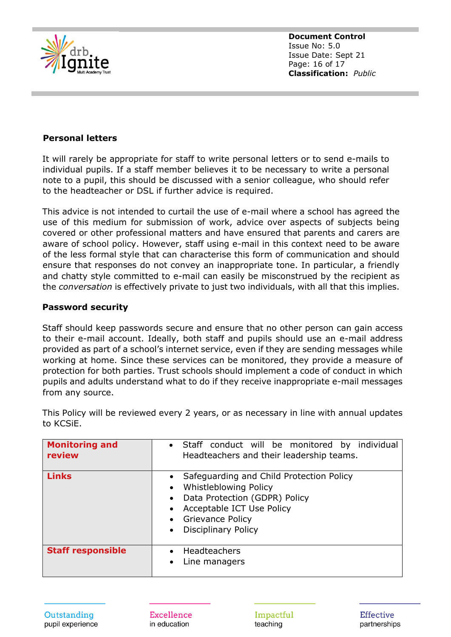

**Document Control** Issue No: 5.0 Issue Date: Sept 21 Page: 16 of 17 **Classification:** *Public*

#### **Personal letters**

It will rarely be appropriate for staff to write personal letters or to send e-mails to individual pupils. If a staff member believes it to be necessary to write a personal note to a pupil, this should be discussed with a senior colleague, who should refer to the headteacher or DSL if further advice is required.

This advice is not intended to curtail the use of e-mail where a school has agreed the use of this medium for submission of work, advice over aspects of subjects being covered or other professional matters and have ensured that parents and carers are aware of school policy. However, staff using e-mail in this context need to be aware of the less formal style that can characterise this form of communication and should ensure that responses do not convey an inappropriate tone. In particular, a friendly and chatty style committed to e-mail can easily be misconstrued by the recipient as the *conversation* is effectively private to just two individuals, with all that this implies.

#### **Password security**

Staff should keep passwords secure and ensure that no other person can gain access to their e-mail account. Ideally, both staff and pupils should use an e-mail address provided as part of a school's internet service, even if they are sending messages while working at home. Since these services can be monitored, they provide a measure of protection for both parties. Trust schools should implement a code of conduct in which pupils and adults understand what to do if they receive inappropriate e-mail messages from any source.

| <b>Monitoring and</b><br>review | • Staff conduct will be monitored by individual<br>Headteachers and their leadership teams.                                                                                         |
|---------------------------------|-------------------------------------------------------------------------------------------------------------------------------------------------------------------------------------|
| <b>Links</b>                    | Safeguarding and Child Protection Policy<br>Whistleblowing Policy<br>Data Protection (GDPR) Policy<br>Acceptable ICT Use Policy<br>• Grievance Policy<br><b>Disciplinary Policy</b> |
| <b>Staff responsible</b>        | Headteachers<br>Line managers                                                                                                                                                       |

This Policy will be reviewed every 2 years, or as necessary in line with annual updates to KCSiE.

Excellence in education

Impactful teaching